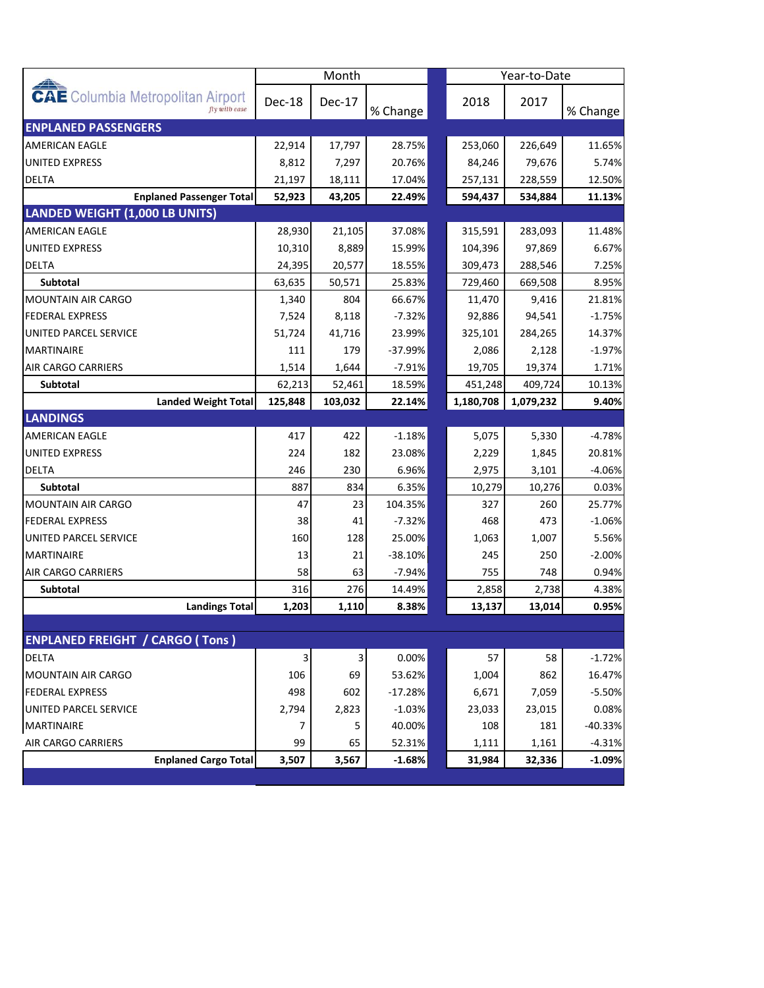|                                                           | Month   |         |           |  |           | Year-to-Date |           |  |
|-----------------------------------------------------------|---------|---------|-----------|--|-----------|--------------|-----------|--|
| <b>CAE</b> Columbia Metropolitan Airport<br>fly with ease | Dec-18  | Dec-17  | % Change  |  | 2018      | 2017         | % Change  |  |
| <b>ENPLANED PASSENGERS</b>                                |         |         |           |  |           |              |           |  |
| <b>AMERICAN EAGLE</b>                                     | 22,914  | 17,797  | 28.75%    |  | 253,060   | 226,649      | 11.65%    |  |
| <b>UNITED EXPRESS</b>                                     | 8,812   | 7,297   | 20.76%    |  | 84,246    | 79,676       | 5.74%     |  |
| <b>DELTA</b>                                              | 21,197  | 18,111  | 17.04%    |  | 257,131   | 228,559      | 12.50%    |  |
| <b>Enplaned Passenger Total</b>                           | 52,923  | 43,205  | 22.49%    |  | 594,437   | 534,884      | 11.13%    |  |
| LANDED WEIGHT (1,000 LB UNITS)                            |         |         |           |  |           |              |           |  |
| AMERICAN EAGLE                                            | 28,930  | 21,105  | 37.08%    |  | 315,591   | 283,093      | 11.48%    |  |
| <b>UNITED EXPRESS</b>                                     | 10,310  | 8,889   | 15.99%    |  | 104,396   | 97,869       | 6.67%     |  |
| <b>DELTA</b>                                              | 24,395  | 20,577  | 18.55%    |  | 309,473   | 288,546      | 7.25%     |  |
| <b>Subtotal</b>                                           | 63,635  | 50,571  | 25.83%    |  | 729,460   | 669,508      | 8.95%     |  |
| <b>MOUNTAIN AIR CARGO</b>                                 | 1,340   | 804     | 66.67%    |  | 11,470    | 9,416        | 21.81%    |  |
| <b>FEDERAL EXPRESS</b>                                    | 7,524   | 8,118   | $-7.32%$  |  | 92,886    | 94,541       | $-1.75%$  |  |
| UNITED PARCEL SERVICE                                     | 51,724  | 41,716  | 23.99%    |  | 325,101   | 284,265      | 14.37%    |  |
| <b>MARTINAIRE</b>                                         | 111     | 179     | $-37.99%$ |  | 2,086     | 2,128        | $-1.97%$  |  |
| AIR CARGO CARRIERS                                        | 1,514   | 1,644   | $-7.91%$  |  | 19,705    | 19,374       | 1.71%     |  |
| Subtotal                                                  | 62,213  | 52,461  | 18.59%    |  | 451,248   | 409,724      | 10.13%    |  |
| <b>Landed Weight Total</b>                                | 125,848 | 103,032 | 22.14%    |  | 1,180,708 | 1,079,232    | 9.40%     |  |
| <b>LANDINGS</b>                                           |         |         |           |  |           |              |           |  |
| AMERICAN EAGLE                                            | 417     | 422     | $-1.18%$  |  | 5,075     | 5,330        | -4.78%    |  |
| <b>UNITED EXPRESS</b>                                     | 224     | 182     | 23.08%    |  | 2,229     | 1,845        | 20.81%    |  |
| <b>DELTA</b>                                              | 246     | 230     | 6.96%     |  | 2,975     | 3,101        | $-4.06%$  |  |
| Subtotal                                                  | 887     | 834     | 6.35%     |  | 10,279    | 10,276       | 0.03%     |  |
| <b>MOUNTAIN AIR CARGO</b>                                 | 47      | 23      | 104.35%   |  | 327       | 260          | 25.77%    |  |
| FEDERAL EXPRESS                                           | 38      | 41      | $-7.32%$  |  | 468       | 473          | $-1.06%$  |  |
| UNITED PARCEL SERVICE                                     | 160     | 128     | 25.00%    |  | 1,063     | 1,007        | 5.56%     |  |
| <b>MARTINAIRE</b>                                         | 13      | 21      | $-38.10%$ |  | 245       | 250          | $-2.00%$  |  |
| AIR CARGO CARRIERS                                        | 58      | 63      | $-7.94%$  |  | 755       | 748          | 0.94%     |  |
| Subtotal                                                  | 316     | 276     | 14.49%    |  | 2,858     | 2,738        | 4.38%     |  |
| <b>Landings Total</b>                                     | 1,203   | 1,110   | 8.38%     |  | 13,137    | 13,014       | 0.95%     |  |
| <b>ENPLANED FREIGHT / CARGO (Tons)</b>                    |         |         |           |  |           |              |           |  |
| DELTA                                                     | 3       | 3       | 0.00%     |  | 57        | 58           | $-1.72%$  |  |
| MOUNTAIN AIR CARGO                                        | 106     | 69      | 53.62%    |  | 1,004     | 862          | 16.47%    |  |
| <b>FEDERAL EXPRESS</b>                                    | 498     | 602     | $-17.28%$ |  | 6,671     | 7,059        | $-5.50%$  |  |
| UNITED PARCEL SERVICE                                     | 2,794   | 2,823   | $-1.03%$  |  | 23,033    | 23,015       | 0.08%     |  |
| <b>MARTINAIRE</b>                                         | 7       | 5       | 40.00%    |  | 108       | 181          | $-40.33%$ |  |
| <b>AIR CARGO CARRIERS</b>                                 | 99      | 65      | 52.31%    |  | 1,111     | 1,161        | $-4.31%$  |  |
| <b>Enplaned Cargo Total</b>                               | 3,507   | 3,567   | $-1.68%$  |  | 31,984    | 32,336       | $-1.09%$  |  |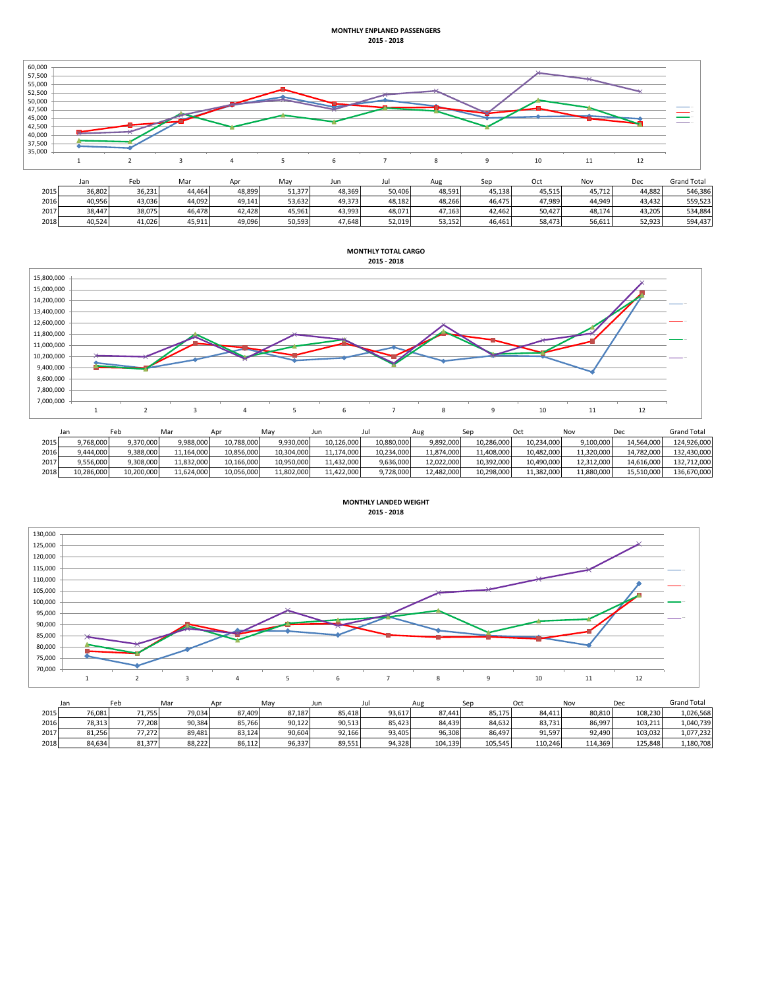## **MONTHLY ENPLANED PASSENGERS 2015 - 2018**



|      | Jan    | -eo    | iviar  |        | iviav  | Jun    |        | Aug    | N≏n    | υcτ    | <b>NO</b> | vec    | Grand Total |
|------|--------|--------|--------|--------|--------|--------|--------|--------|--------|--------|-----------|--------|-------------|
| 2015 | 36.802 | 36.231 | 44.464 | 48.899 | 51.377 | 48.369 | 50.406 | 48.591 | 45.138 | 45.515 | 45.712    | 44.882 | 546.386     |
| 2016 | 40.956 | 43.036 | 44.092 | 49.141 | 53.632 | 49.373 | 48.182 | 48.266 | 46.475 | 47.989 | 44.949    | 43.432 | 559.523     |
| 2017 | 38.447 | 38.075 | 46.478 | 42.428 | 45.961 | 43.993 | 48.071 | 47.163 | 42.462 | 50.427 | 48.174    | 43.205 | 534.884     |
| 2018 | 40.524 | 41.026 | 45.911 | 49.096 | 50.593 | 47.648 | 52.019 | 53.152 | 46.461 | 58.473 | 56.611    | 52.923 | 594,437     |



|      | Jar        | -eb        | Mar        | Anr        | Mav        | Jun        | Ju         | Aug        |            | Oct        | Nov        | Dec        | <b>Grand Total</b> |
|------|------------|------------|------------|------------|------------|------------|------------|------------|------------|------------|------------|------------|--------------------|
| 2015 | 9,768,000  | 9.370.000  | 9,988,000  | 10.788.000 | 9,930,000  | 10.126.000 | 10,880,000 | 9,892,000  | 10,286,000 | 10.234.000 | 9.100.000  | 14.564.000 | 124.926.000        |
| 2016 | 9,444,000  | ,388,000   | 11,164,000 | 10,856,000 | 10,304,000 | 11,174,000 | 10,234,000 | 11,874,000 | 11,408,000 | 10,482,000 | 11,320,000 | 14,782,000 | 132,430,000        |
| 2017 | 9,556,000  | 9.308.000  | 11,832,000 | 10.166.000 | 10.950.000 | 11.432.000 | 9.636.000  | 12,022,000 | 10,392,000 | 10.490.000 | 12.312.000 | 14,616,000 | 132,712,000        |
| 2018 | 10,286,000 | 10.200.000 | 11,624,000 | 10.056.000 | 11.802.000 | 11.422.000 | 9.728.000  | 12.482.000 | 10.298.000 | 11,382,000 | 11.880.000 | 15.510.000 | 136,670,000        |





|      | Jan    | Feb    | Ma     | Apr    | Mav    | Jun    | JU.    | Aue     | Sen     | Oct     | Nov     | Dec     | <b>Grand Total</b> |
|------|--------|--------|--------|--------|--------|--------|--------|---------|---------|---------|---------|---------|--------------------|
| 2015 | 76.081 | 71.755 | 79.034 | 87.409 | 87,187 | 85.418 | 93.617 | 87.441  | 85.175  | 84.411  | 80.810  | 108.230 | 1.026.568          |
| 2016 | 78,313 | 77,208 | 90,384 | 85,766 | 90,122 | 90,513 | 85,423 | 84,439  | 84,632  | 83,731  | 86,997  | 103,211 | 1,040,739          |
| 2017 | 81,256 | 77,272 | 89.481 | 83,124 | 90,604 | 92,166 | 93.405 | 96,308  | 86.497  | 91,597  | 92.490  | 103,032 | 1,077,232          |
| 2018 | 84.634 | 81.377 | 88.222 | 86.112 | 96,337 | 89,551 | 94.328 | 104.139 | 105.545 | 110.246 | 114.369 | 125.848 | 1,180,708          |

**MONTHLY TOTAL CARGO**